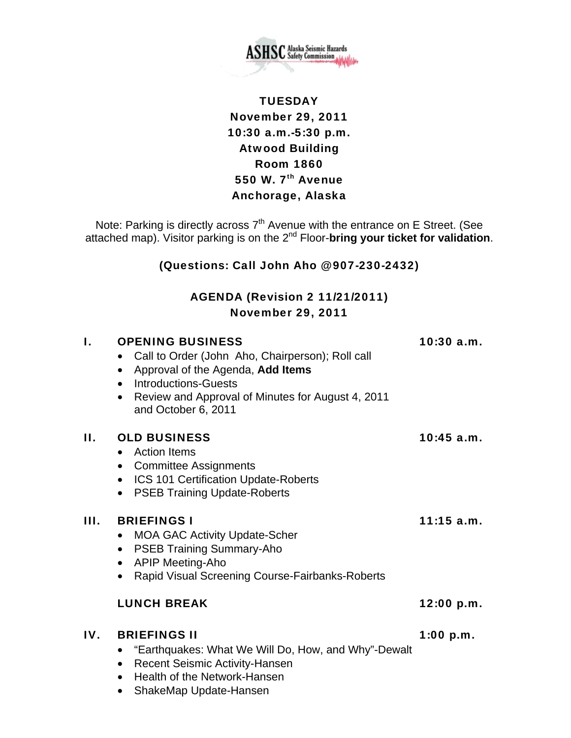

# **TUESDAY** November 29, 2011 10:30 a.m.-5:30 p.m. Atwood Building Room 1860 550 W.  $7<sup>th</sup>$  Avenue Anchorage, Alaska

Note: Parking is directly across  $7<sup>th</sup>$  Avenue with the entrance on E Street. (See attached map). Visitor parking is on the 2<sup>nd</sup> Floor-bring your ticket for validation.

### (Questions: Call John Aho @ 907-230-2432)

## AGENDA (Revision 2 11/21/2011) November 29, 2011

| I.  | <b>OPENING BUSINESS</b><br>Call to Order (John Aho, Chairperson); Roll call<br>$\bullet$<br>Approval of the Agenda, Add Items<br><b>Introductions-Guests</b><br>$\bullet$<br>Review and Approval of Minutes for August 4, 2011<br>$\bullet$<br>and October 6, 2011 | $10:30$ a.m. |
|-----|--------------------------------------------------------------------------------------------------------------------------------------------------------------------------------------------------------------------------------------------------------------------|--------------|
| П.  | <b>OLD BUSINESS</b><br><b>Action Items</b><br>$\bullet$<br>• Committee Assignments<br><b>ICS 101 Certification Update-Roberts</b><br><b>PSEB Training Update-Roberts</b><br>$\bullet$                                                                              | 10:45 a.m.   |
| Ш.  | <b>BRIEFINGS I</b><br><b>MOA GAC Activity Update-Scher</b><br>$\bullet$<br><b>PSEB Training Summary-Aho</b><br>$\bullet$<br><b>APIP Meeting-Aho</b><br>$\bullet$<br>Rapid Visual Screening Course-Fairbanks-Roberts                                                | $11:15$ a.m. |
|     | <b>LUNCH BREAK</b>                                                                                                                                                                                                                                                 | 12:00 p.m.   |
| IV. | <b>BRIEFINGS II</b><br>"Earthquakes: What We Will Do, How, and Why"-Dewalt<br>$\bullet$<br><b>Recent Seismic Activity-Hansen</b><br>$\bullet$                                                                                                                      | $1:00$ p.m.  |

- Health of the Network-Hansen
- ShakeMap Update-Hansen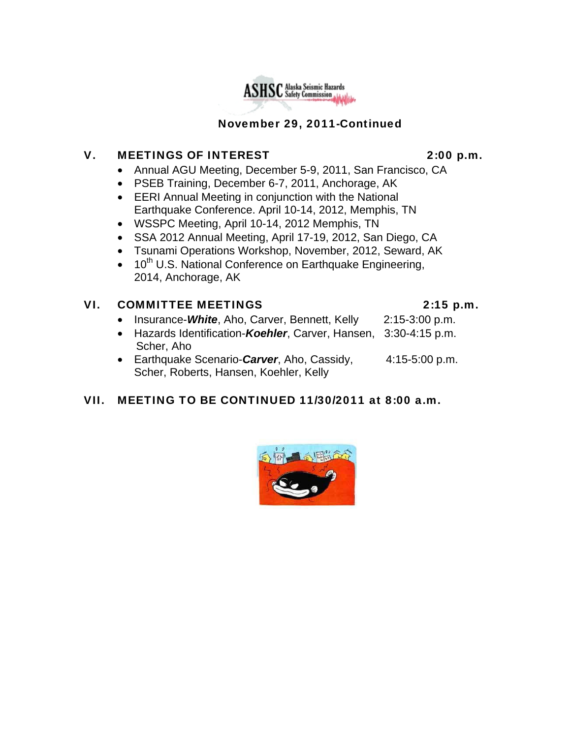# November 29, 2011-Continued

**ASHSC** Alaska Seismic Hazards

#### V. MEETINGS OF INTEREST 2:00 p.m.

- Annual AGU Meeting, December 5-9, 2011, San Francisco, CA
- PSEB Training, December 6-7, 2011, Anchorage, AK
- EERI Annual Meeting in conjunction with the National Earthquake Conference. April 10-14, 2012, Memphis, TN
- WSSPC Meeting, April 10-14, 2012 Memphis, TN
- SSA 2012 Annual Meeting, April 17-19, 2012, San Diego, CA
- Tsunami Operations Workshop, November, 2012, Seward, AK
- $\bullet$  10<sup>th</sup> U.S. National Conference on Earthquake Engineering, 2014, Anchorage, AK

#### VI. COMMITTEE MEETINGS 2:15 p.m.

- Insurance-*White*, Aho, Carver, Bennett, Kelly 2:15-3:00 p.m.
- Hazards Identification-*Koehler*, Carver, Hansen, 3:30-4:15 p.m. Scher, Aho
- Earthquake Scenario-*Carver*, Aho, Cassidy, 4:15-5:00 p.m. Scher, Roberts, Hansen, Koehler, Kelly

### VII. MEETING TO BE CONTINUED 11/30/2011 at 8:00 a.m.



- 
- 
- 
- 
- 
- -
	- -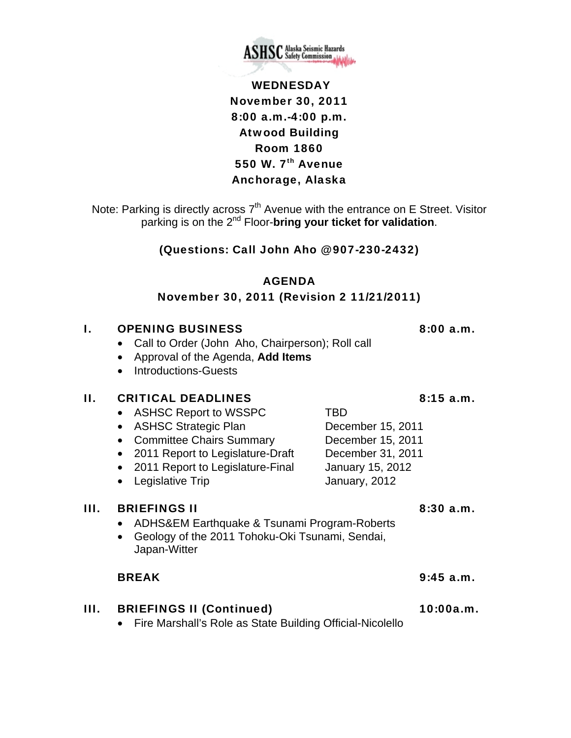

# WEDNESDAY November 30, 2011 8:00 a.m.-4:00 p.m. Atwood Building Room 1860 550 W.  $7<sup>th</sup>$  Avenue Anchorage, Alaska

Note: Parking is directly across 7<sup>th</sup> Avenue with the entrance on E Street. Visitor parking is on the 2nd Floor-**bring your ticket for validation**.

#### (Questions: Call John Aho @ 907-230-2432)

### AGENDA

#### November 30, 2011 (Revision 2 11/21/2011)

#### **I.** OPENING BUSINESS 8:00 a.m.

- Call to Order (John Aho, Chairperson); Roll call
- Approval of the Agenda, **Add Items**
- Introductions-Guests

#### II. CRITICAL DEADLINES 8:15 a.m.

- ASHSC Report to WSSPC TBD
- ASHSC Strategic Plan December 15, 2011
- Committee Chairs Summary December 15, 2011
- 2011 Report to Legislature-Draft December 31, 2011
- 2011 Report to Legislature-Final January 15, 2012
- Legislative Trip **January**, 2012

#### III. BRIEFINGS II 8:30 a.m.

- ADHS&EM Earthquake & Tsunami Program-Roberts
- Geology of the 2011 Tohoku-Oki Tsunami, Sendai, Japan-Witter

#### BREAK 9:45 a.m.

### III. BRIEFINGS II (Continued) 10:00a.m.

• Fire Marshall's Role as State Building Official-Nicolello